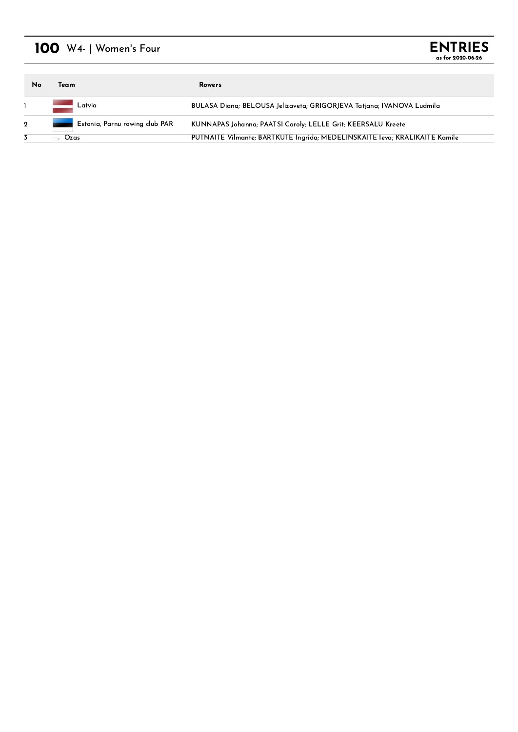## 100 W4- | Women's Four



| No          | Team                                            | <b>Rowers</b>                                                              |
|-------------|-------------------------------------------------|----------------------------------------------------------------------------|
|             | Latvia                                          | BULASA Diana; BELOUSA Jelizaveta; GRIGORJEVA Tatjana; IVANOVA Ludmila      |
| $\mathbf 2$ | Estonia, Parnu rowing club PAR<br><b>Change</b> | KUNNAPAS Johanna; PAATSI Caroly; LELLE Grit; KEERSALU Kreete               |
|             | Ozas                                            | PUTNAITE Vilmante; BARTKUTE Ingrida; MEDELINSKAITE Ieva; KRALIKAITE Kamile |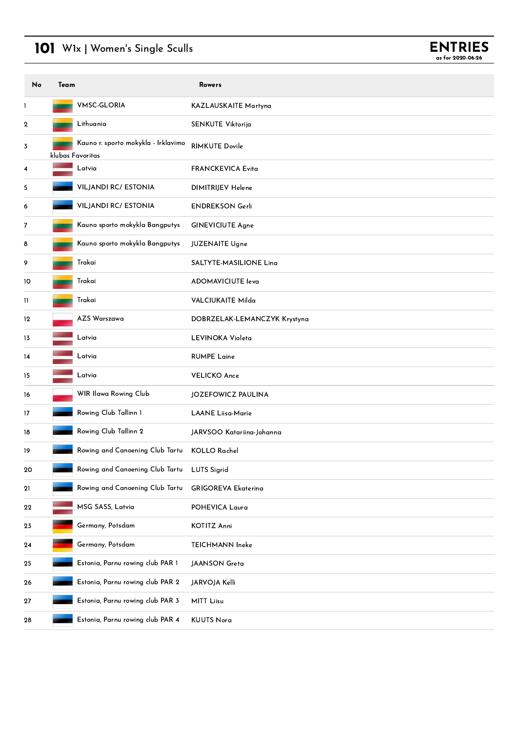# 101 W1x | Women's Single Sculls



| No | Team |                                                         | <b>Rowers</b>                 |
|----|------|---------------------------------------------------------|-------------------------------|
| 1  |      | <b>VMSC-GLORIA</b>                                      | KAZLAUSKAITE Martyna          |
| 2  |      | Lithuania                                               | SENKUTE Viktorija             |
| 3  |      | Kauno r. sporto mokykla - Irklavimo<br>klubas Favoritas | <b>RIMKUTE Dovile</b>         |
| 4  |      | Latvia                                                  | <b>FRANCKEVICA Evita</b>      |
| 5  |      | <b>VILJANDI RC/ ESTONIA</b>                             | DIMITRIJEV Helene             |
| 6  |      | <b>VILJANDI RC/ ESTONIA</b>                             | <b>ENDREKSON Gerli</b>        |
| 7  |      | Kauno sporto mokykla Bangputys                          | <b>GINEVICIUTE Agne</b>       |
| 8  |      | Kauno sporto mokykla Bangputys                          | <b>JUZENAITE Ugne</b>         |
| 9  |      | Trakai                                                  | <b>SALTYTE MASILIONE Ling</b> |
| 10 |      | Trakai                                                  | <b>ADOMAVICIUTE leva</b>      |
| Ħ  |      | Trakai                                                  | <b>VALCIUKAITE Milda</b>      |
| 12 |      | AZS Warszawa                                            | DOBRZELAK-LEMANCZYK Krystyna  |
| 13 |      | Latvia                                                  | LEVINOKA Violeta              |
| 14 |      | Latvia                                                  | <b>RUMPE Laine</b>            |
| 15 |      | Latvia                                                  | <b>VELICKO Ance</b>           |
| 16 |      | WIR Ilawa Rowing Club                                   | JOZEFOWICZ PAULINA            |
| 17 |      | Rowing Club Tallinn 1                                   | <b>LAANE Liisa-Marie</b>      |
| 18 |      | Rowing Club Tallinn 2                                   | JARVSOO Katariina-Johanna     |
| 19 |      | Rowing and Canoening Club Tartu                         | <b>KOLLO Rachel</b>           |
| 20 |      | Rowing and Canoening Club Tartu                         | <b>LUTS Sigrid</b>            |
| 21 |      | Rowing and Canoening Club Tartu                         | <b>GRIGOREVA Ekaterina</b>    |
| 22 |      | MSG SASS, Latvia                                        | POHEVICA Laura                |
| 23 |      | Germany, Potsdam                                        | <b>KOTITZ Anni</b>            |
| 24 |      | Germany, Potsdam                                        | TEICHMANN Ineke               |
| 25 |      | Estonia, Parnu rowing club PAR 1                        | <b>JAANSON</b> Greta          |
| 26 |      | Estonia, Parnu rowing club PAR 2                        | JARVOJA Kelli                 |
| 27 |      | Estonia, Parnu rowing club PAR 3                        | <b>MITT Liisu</b>             |
| 28 |      | Estonia, Parnu rowing club PAR 4                        | <b>KUUTS Nora</b>             |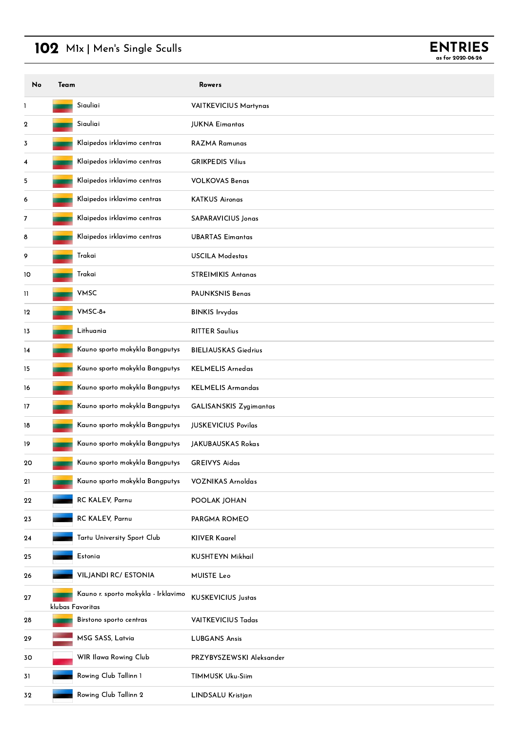## 102 M1x | Men's Single Sculls



| No          | Team |                                                         | <b>Rowers</b>                 |
|-------------|------|---------------------------------------------------------|-------------------------------|
| 1           |      | Siauliai                                                | <b>VAITKEVICIUS Martynas</b>  |
| $\mathbf 2$ |      | Siauliai                                                | <b>JUKNA Eimantas</b>         |
| 3           |      | Klaipedos irklavimo centras                             | RAZMA Ramunas                 |
| 4           |      | Klaipedos irklavimo centras                             | <b>GRIKPEDIS Vilius</b>       |
| 5           |      | Klaipedos irklavimo centras                             | <b>VOLKOVAS Benas</b>         |
| 6           |      | Klaipedos irklavimo centras                             | <b>KATKUS Aironas</b>         |
| 7           |      | Klaipedos irklavimo centras                             | SAPARAVICIUS Jonas            |
| 8           |      | Klaipedos irklavimo centras                             | <b>UBARTAS Eimantas</b>       |
| 9           |      | Trakai                                                  | <b>USCILA Modestas</b>        |
| 10          |      | Trakai                                                  | <b>STREIMIKIS Antanas</b>     |
| Ш           |      | <b>VMSC</b>                                             | <b>PAUNKSNIS Benas</b>        |
| 12          |      | VMSC-8+                                                 | <b>BINKIS Irvydas</b>         |
| 13          |      | Lithuania                                               | <b>RITTER Saulius</b>         |
| 14          |      | Kauno sporto mokykla Bangputys                          | <b>BIELIAUSKAS Giedrius</b>   |
| 15          |      | Kauno sporto mokykla Bangputys                          | <b>KELMELIS Arnedas</b>       |
| 16          |      | Kauno sporto mokykla Bangputys                          | <b>KELMELIS Armandas</b>      |
| 17          |      | Kauno sporto mokykla Bangputys                          | <b>GALISANSKIS Zygimantas</b> |
| 18          |      | Kauno sporto mokykla Bangputys                          | <b>JUSKEVICIUS Povilas</b>    |
| 19          |      | Kauno sporto mokykla Bangputys                          | <b>JAKUBAUSKAS Rokas</b>      |
| 20          |      | Kauno sporto mokykla Bangputys                          | <b>GREIVYS Aidas</b>          |
| 21          |      | Kauno sporto mokykla Bangputys                          | <b>VOZNIKAS Arnoldas</b>      |
| 22          |      | RC KALEV, Parnu                                         | POOLAK JOHAN                  |
| 23          |      | RC KALEV, Parnu                                         | PARGMA ROMEO                  |
| 24          |      | Tartu University Sport Club                             | <b>KIIVER Kaarel</b>          |
| 25          |      | Estonia                                                 | <b>KUSHTEYN Mikhail</b>       |
| 26          |      | <b>VILJANDI RC/ ESTONIA</b>                             | <b>MUISTE Leo</b>             |
| 27          |      | Kauno r. sporto mokykla - Irklavimo<br>klubas Favoritas | <b>KUSKEVICIUS Justas</b>     |
| 28          |      | Birstono sporto centras                                 | <b>VAITKEVICIUS Tadas</b>     |
| 29          |      | MSG SASS, Latvia                                        | <b>LUBGANS Ansis</b>          |
| 30          |      | WIR Ilawa Rowing Club                                   | PRZYBYSZEWSKI Aleksander      |
| 31          |      | Rowing Club Tallinn 1                                   | TIMMUSK Uku-Siim              |
| 32          |      | Rowing Club Tallinn 2                                   | LINDSALU Kristjan             |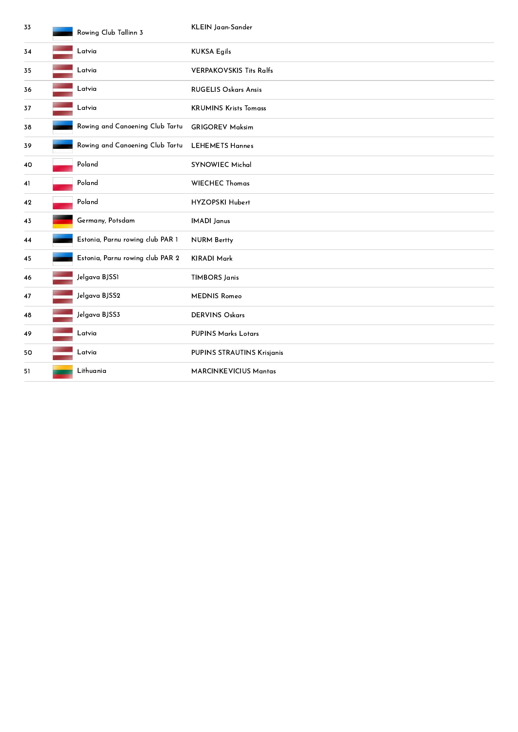| 33 | Rowing Club Tallinn 3                           | KLEIN Jaan-Sander                 |
|----|-------------------------------------------------|-----------------------------------|
| 34 | Latvia                                          | <b>KUKSA Egils</b>                |
| 35 | Latvia                                          | <b>VERPAKOVSKIS Tits Ralfs</b>    |
| 36 | Latvia                                          | <b>RUGELIS Oskars Ansis</b>       |
| 37 | Latvia                                          | <b>KRUMINS Krists Tomass</b>      |
| 38 | Rowing and Canoening Club Tartu                 | <b>GRIGOREV Maksim</b>            |
| 39 | Rowing and Canoening Club Tartu LEHEMETS Hannes |                                   |
| 40 | Poland                                          | <b>SYNOWIEC Michal</b>            |
| 41 | Poland                                          | <b>WIECHEC Thomas</b>             |
| 42 | Poland                                          | HYZOPSKI Hubert                   |
| 43 | Germany, Potsdam                                | <b>IMADI</b> Janus                |
| 44 | Estonia, Parnu rowing club PAR 1                | <b>NURM Bertty</b>                |
| 45 | Estonia, Parnu rowing club PAR 2                | <b>KIRADI Mark</b>                |
| 46 | Jelgava BJSS1                                   | <b>TIMBORS Janis</b>              |
| 47 | Jelgava BJSS2                                   | <b>MEDNIS Romeo</b>               |
| 48 | Jelgava BJSS3                                   | <b>DERVINS Oskars</b>             |
| 49 | Latvia                                          | <b>PUPINS Marks Lotars</b>        |
| 50 | Latvia                                          | <b>PUPINS STRAUTINS Krisjanis</b> |
| 51 | Lithuania                                       | <b>MARCINKEVICIUS Mantas</b>      |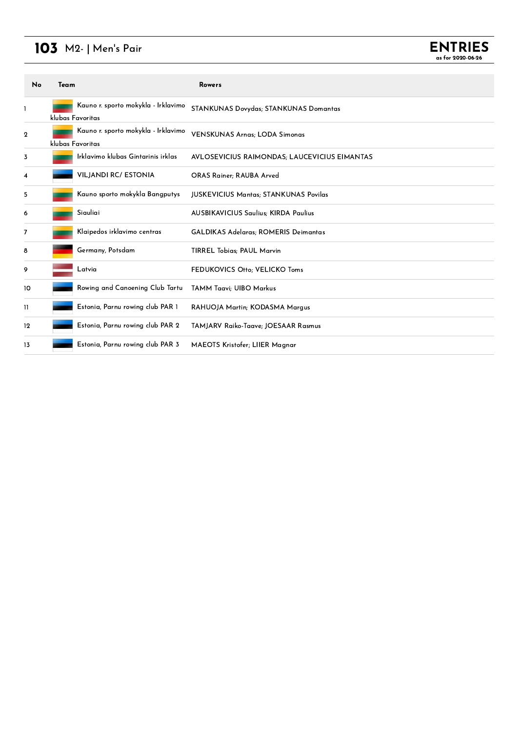## M2- <sup>|</sup> Men's Pair

| No | Team |                                                         | <b>Rowers</b>                                |
|----|------|---------------------------------------------------------|----------------------------------------------|
| L  |      | Kauno r. sporto mokykla - Irklavimo<br>klubas Favoritas | STANKUNAS Dovydas; STANKUNAS Domantas        |
| 2  |      | Kauno r. sporto mokykla - Irklavimo<br>klubas Favoritas | <b>VENSKUNAS Arnas; LODA Simonas</b>         |
| 3  |      | Irklavimo klubas Gintarinis irklas                      | AVLOSEVICIUS RAIMONDAS; LAUCEVICIUS EIMANTAS |
| 4  |      | <b>VILJANDI RC/ ESTONIA</b>                             | <b>ORAS Rainer</b> ; RAUBA Arved             |
| 5  |      | Kauno sporto mokykla Bangputys                          | <b>JUSKEVICIUS Mantas; STANKUNAS Povilas</b> |
| 6  |      | Siauliai                                                | <b>AUSBIKAVICIUS Saulius: KIRDA Paulius</b>  |
| 7  |      | Klaipedos irklavimo centras                             | <b>GALDIKAS Adelaras; ROMERIS Deimantas</b>  |
| 8  |      | Germany, Potsdam                                        | <b>TIRREL Tobias; PAUL Marvin</b>            |
| 9  |      | Latvia                                                  | FEDUKOVICS Otto; VELICKO Toms                |
| 10 |      | Rowing and Canoening Club Tartu                         | <b>TAMM Taavi</b> ; UIBO Markus              |
| 11 |      | Estonia, Parnu rowing club PAR 1                        | RAHUOJA Martin; KODASMA Marqus               |
| 12 |      | Estonia, Parnu rowing club PAR 2                        | TAMJARV Raiko-Taave; JOESAAR Rasmus          |
| 13 |      | Estonia, Parnu rowing club PAR 3                        | MAEOTS Kristofer; LIIER Magnar               |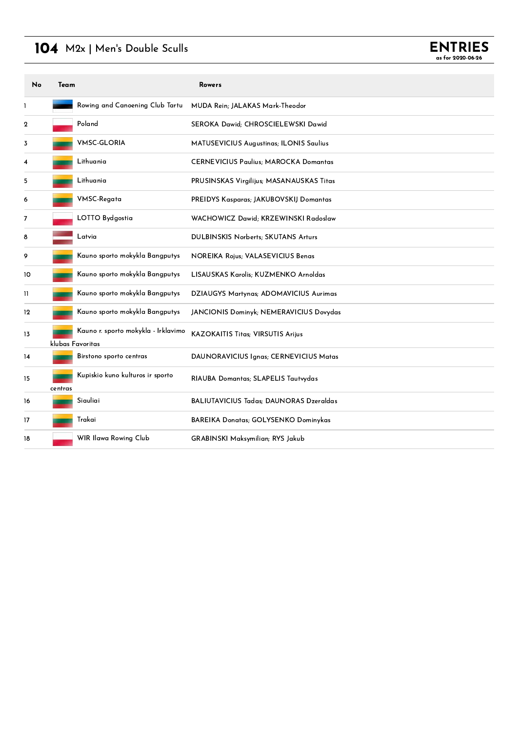### 104 M2x | Men's Double Sculls

| No | Team    |                                                         | Rowers                                         |
|----|---------|---------------------------------------------------------|------------------------------------------------|
| 1  |         | Rowing and Canoening Club Tartu                         | MUDA Rein; JALAKAS Mark-Theodor                |
| 2  |         | Poland                                                  | SEROKA Dawid; CHROSCIELEWSKI Dawid             |
| 3  |         | <b>VMSC-GLORIA</b>                                      | MATUSEVICIUS Augustinas; ILONIS Saulius        |
| 4  |         | Lithuania                                               | <b>CERNEVICIUS Paulius; MAROCKA Domantas</b>   |
| 5  |         | Lithuania                                               | PRUSINSKAS Virgilijus; MASANAUSKAS Titas       |
| 6  |         | VMSC-Regata                                             | PREIDYS Kasparas; JAKUBOVSKIJ Domantas         |
| 7  |         | LOTTO Bydgostia                                         | WACHOWICZ Dawid; KRZEWINSKI Radoslaw           |
| 8  |         | Latvia                                                  | <b>DULBINSKIS Norberts; SKUTANS Arturs</b>     |
| 9  |         | Kauno sporto mokykla Bangputys                          | <b>NOREIKA Rojus; VALASEVICIUS Benas</b>       |
| 10 |         | Kauno sporto mokykla Bangputys                          | LISAUSKAS Karolis; KUZMENKO Arnoldas           |
| H  |         | Kauno sporto mokykla Bangputys                          | DZIAUGYS Martynas; ADOMAVICIUS Aurimas         |
| 12 |         | Kauno sporto mokykla Bangputys                          | JANCIONIS Dominyk; NEMERAVICIUS Dovydas        |
| 13 |         | Kauno r. sporto mokykla - Irklavimo<br>klubas Favoritas | <b>KAZOKAITIS Titas; VIRSUTIS Arijus</b>       |
| 14 |         | Birstono sporto centras                                 | DAUNORAVICIUS Ignas; CERNEVICIUS Matas         |
| 15 | centras | Kupiskio kuno kulturos ir sporto                        | RIAUBA Domantas; SLAPELIS Tautvydas            |
| 16 |         | Siauliai                                                | <b>BALIUTAVICIUS Tadas: DAUNORAS Dzeraldas</b> |
| 17 |         | Trakai                                                  | BAREIKA Donatas; GOLYSENKO Dominykas           |
| 18 |         | WIR Ilawa Rowing Club                                   | <b>GRABINSKI Maksymilian; RYS Jakub</b>        |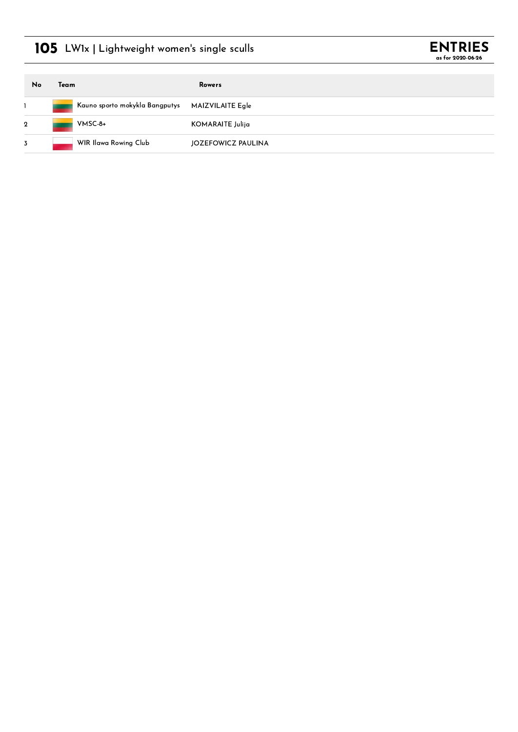## 105 LW1x | Lightweight women's single sculls



| No             | Team |                                | Rowers             |
|----------------|------|--------------------------------|--------------------|
|                |      | Kauno sporto mokykla Bangputys | MAIZVILAITE Egle   |
| $\overline{2}$ |      | VMSC-8+                        | KOMARAITE Julija   |
| 3              |      | WIR Ilawa Rowing Club          | JOZEFOWICZ PAULINA |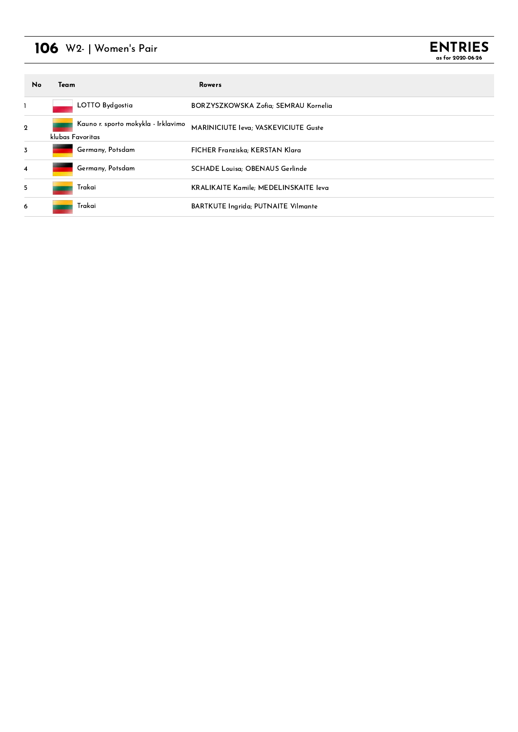## 106 W2- <sup>|</sup> Women's Pair



| <b>No</b>        | Team             |                                     | Rowers                                        |
|------------------|------------------|-------------------------------------|-----------------------------------------------|
|                  |                  | LOTTO Bydgostia                     | BORZYSZKOWSKA Zofia; SEMRAU Kornelia          |
| $\boldsymbol{2}$ | klubas Favoritas | Kauno r. sporto mokykla - Irklavimo | MARINICIUTE leva; VASKEVICIUTE Guste          |
| $\overline{3}$   |                  | Germany, Potsdam                    | FICHER Franziska; KERSTAN Klara               |
| $\overline{4}$   |                  | Germany, Potsdam                    | <b>SCHADE Louisa: OBENAUS Gerlinde</b>        |
| 5                |                  | Trakai                              | <b>KRALIKAITE Kamile</b> ; MEDELINSKAITE leva |
| 6                |                  | Trakai                              | <b>BARTKUTE Ingrida; PUTNAITE Vilmante</b>    |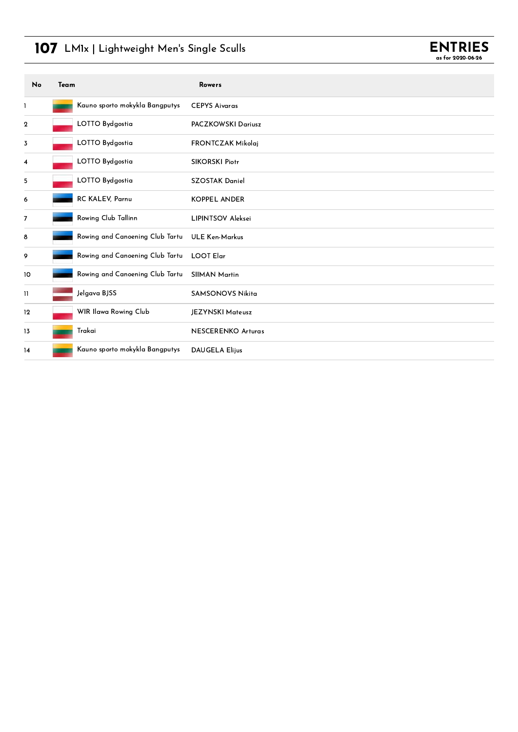## 107 LM1x | Lightweight Men's Single Sculls



| No               | Team |                                 | <b>Rowers</b>             |
|------------------|------|---------------------------------|---------------------------|
| 1                |      | Kauno sporto mokykla Bangputys  | <b>CEPYS Aivaras</b>      |
| $\boldsymbol{2}$ |      | LOTTO Bydgostia                 | PACZKOWSKI Dariusz        |
| 3                |      | LOTTO Bydgostia                 | FRONTCZAK Mikolaj         |
| 4                |      | LOTTO Bydgostia                 | <b>SIKORSKI Piotr</b>     |
| 5                |      | LOTTO Bydgostia                 | <b>SZOSTAK Daniel</b>     |
| 6                |      | RC KALEV, Parnu                 | <b>KOPPEL ANDER</b>       |
| $\overline{7}$   |      | Rowing Club Tallinn             | <b>LIPINTSOV Aleksei</b>  |
| 8                |      | Rowing and Canoening Club Tartu | <b>ULE Ken-Markus</b>     |
| 9                |      | Rowing and Canoening Club Tartu | <b>LOOT Elar</b>          |
| 10               |      | Rowing and Canoening Club Tartu | <b>SIIMAN Martin</b>      |
| $\mathbf{1}$     |      | Jelgava BJSS                    | <b>SAMSONOVS Nikita</b>   |
| 12               |      | WIR Ilawa Rowing Club           | JEZYNSKI Mateusz          |
| 13               |      | Trakai                          | <b>NESCERENKO Arturas</b> |
| 14               |      | Kauno sporto mokykla Bangputys  | <b>DAUGELA Elijus</b>     |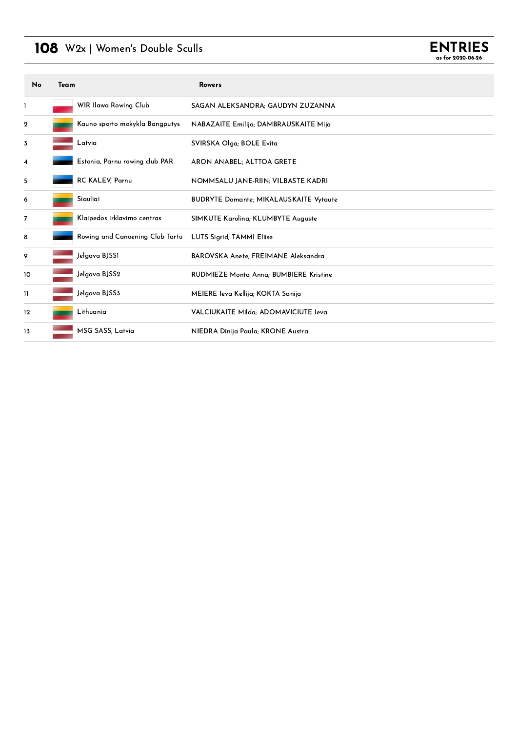## 108 W2x | Women's Double Sculls



| No               | Team |                                 | <b>Rowers</b>                                 |
|------------------|------|---------------------------------|-----------------------------------------------|
| 1                |      | WIR Ilawa Rowing Club           | SAGAN ALEKSANDRA; GAUDYN ZUZANNA              |
| $\boldsymbol{2}$ |      | Kauno sporto mokykla Bangputys  | NABAZAITE Emilija; DAMBRAUSKAITE Mija         |
| 3                |      | Latvia                          | SVIRSKA Olga; BOLE Evita                      |
| 4                |      | Estonia, Parnu rowing club PAR  | ARON ANABEL, ALTTOA GRETE                     |
| 5                |      | <b>RC KALEV, Parnu</b>          | NOMMSALU JANE-RIIN; VILBASTE KADRI            |
| 6                |      | Siauliai                        | <b>BUDRYTE Domante; MIKALAUSKAITE Vytaute</b> |
| 7                |      | Klaipedos irklavimo centras     | SIMKUTE Karolina; KLUMBYTE Auguste            |
| 8                |      | Rowing and Canoening Club Tartu | LUTS Sigrid; TAMMI Eliise                     |
| 9                |      | Jelgava BJSS1                   | BAROVSKA Anete; FREIMANE Aleksandra           |
| 10               |      | Jelgava BJSS2                   | RUDMIEZE Monta Anna; BUMBIERE Kristine        |
| 11               |      | Jelgava BJSS3                   | MEIERE Ieva Kellija; KOKTA Sanija             |
| 12               |      | Lithuania                       | VALCIUKAITE Milda; ADOMAVICIUTE leva          |
| 13               |      | MSG SASS, Latvia                | NIEDRA Dinija Paula; KRONE Austra             |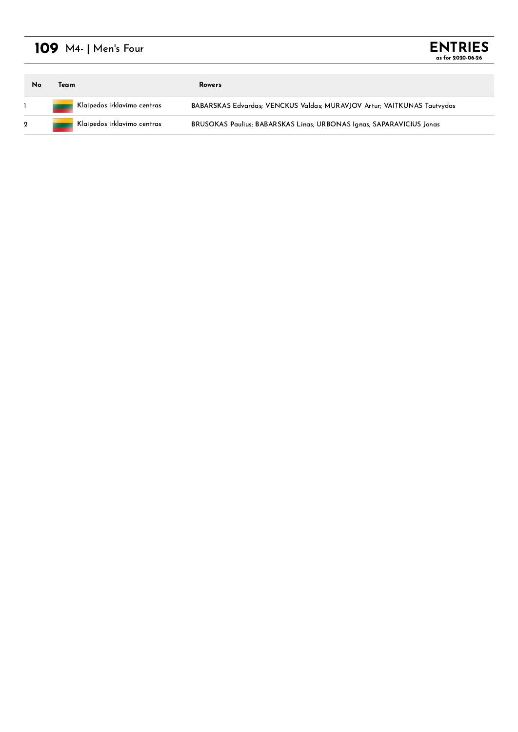## 109 M4- | Men's Four

| <b>ENTRIES</b>    |  |
|-------------------|--|
| as for 2020-06-26 |  |

| No | Team                                          | <b>Rowers</b>                                                               |
|----|-----------------------------------------------|-----------------------------------------------------------------------------|
|    | Klaipedos irklavimo centras<br><b>Provide</b> | BABARSKAS Edvardas; VENCKUS Valdas; MURAVJOV Artur; VAITKUNAS Tautvydas     |
|    | Klaipedos irklavimo centras                   | <b>BRUSOKAS Paulius: BABARSKAS Lings: URBONAS Ignas: SAPARAVICIUS Jonas</b> |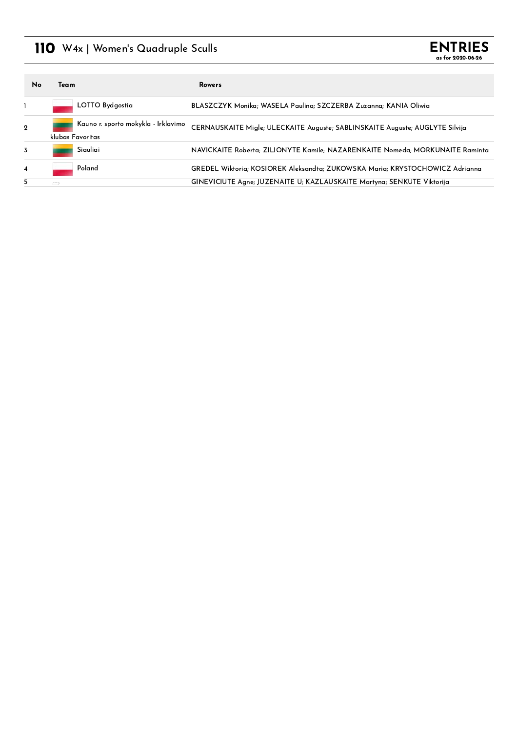### 110 W4x | Women's Quadruple Sculls



| No             | Team          |                                                         | Rowers                                                                        |
|----------------|---------------|---------------------------------------------------------|-------------------------------------------------------------------------------|
|                |               | LOTTO Bydgostia                                         | BLASZCZYK Monika; WASELA Paulina; SZCZERBA Zuzanna; KANIA Oliwia              |
| $\mathbf{2}$   |               | Kauno r. sporto mokykla - Irklavimo<br>klubas Favoritas | CERNAUSKAITE Migle; ULECKAITE Auguste; SABLINSKAITE Auguste; AUGLYTE Silvija  |
| $\overline{3}$ |               | Siauliai                                                | NAVICKAITE Roberta; ZILIONYTE Kamile; NAZARENKAITE Nomeda; MORKUNAITE Raminta |
| 4              |               | Poland                                                  | GREDEL Wiktoria: KOSIOREK Aleksandta: ZUKOWSKA Maria: KRYSTOCHOWICZ Adrianna  |
| 5              | $\rightarrow$ |                                                         | GINEVICIUTE Agne; JUZENAITE U; KAZLAUSKAITE Martyna; SENKUTE Viktorija        |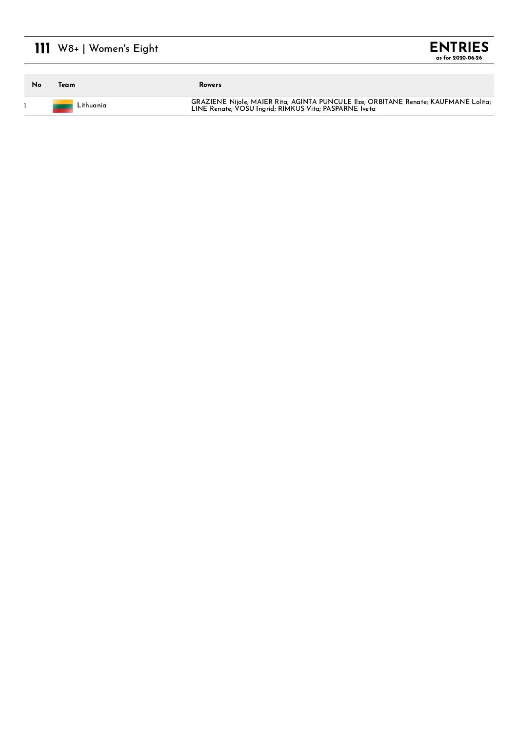## 111 W8+ | Women's Eight

| No | Team      | <b>Rowers</b>                                                                                                                                |
|----|-----------|----------------------------------------------------------------------------------------------------------------------------------------------|
|    | Lithuania | GRAZIENE Nijole; MAIER Rita; AGINTA PUNCULE Ilze; ORBITANE Renate; KAUFMANE Lolita;<br>LINE Renate; VOSU Ingrid; RIMKUS Vita; PASPARNE Iveta |

**ENTRIES** as for 2020-06-26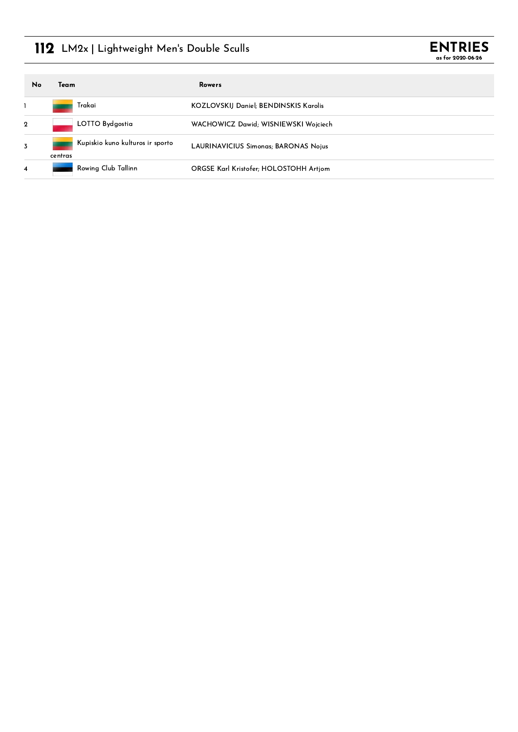## 112 LM2x | Lightweight Men's Double Sculls



| No           | Team                                        | Rowers                                        |
|--------------|---------------------------------------------|-----------------------------------------------|
|              | Trakai                                      | <b>KOZLOVSKIJ Daniel; BENDINSKIS Karolis</b>  |
| $\mathbf{2}$ | LOTTO Bydgostia                             | WACHOWICZ Dawid; WISNIEWSKI Wojciech          |
| 3            | Kupiskio kuno kulturos ir sporto<br>centras | <b>LAURINAVICIUS Simonas; BARONAS Nojus</b>   |
| 4            | Rowing Club Tallinn                         | <b>ORGSE Karl Kristofer; HOLOSTOHH Artiom</b> |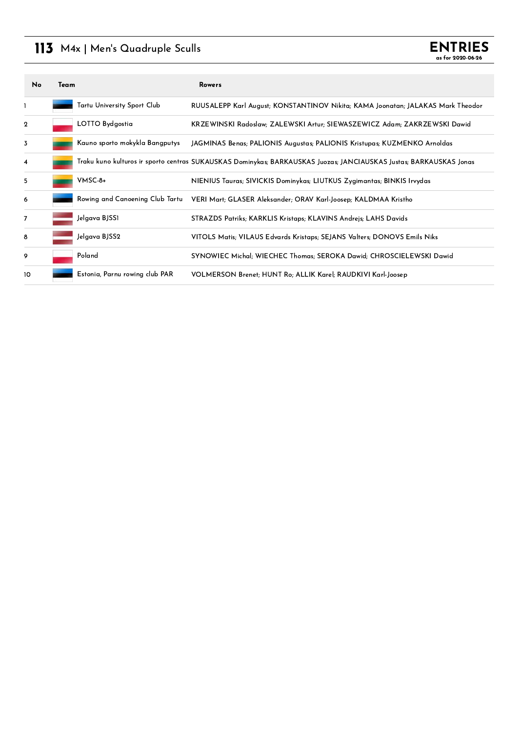## 113 M4x | Men's Quadruple Sculls

| No             | Team |                                 | <b>Rowers</b>                                                                                                      |
|----------------|------|---------------------------------|--------------------------------------------------------------------------------------------------------------------|
| 1              |      | Tartu University Sport Club     | RUUSALEPP Karl August; KONSTANTINOV Nikita; KAMA Joonatan; JALAKAS Mark Theodor                                    |
| $\mathbf 2$    |      | LOTTO Bydgostia                 | KRZEWINSKI Radoslaw; ZALEWSKI Artur; SIEWASZEWICZ Adam; ZAKRZEWSKI Dawid                                           |
| 3              |      | Kauno sporto mokykla Bangputys  | JAGMINAS Benas; PALIONIS Augustas; PALIONIS Kristupas; KUZMENKO Arnoldas                                           |
| 4              |      |                                 | Traku kuno kulturos ir sporto centras SUKAUSKAS Dominykas; BARKAUSKAS Juozas; JANCIAUSKAS Justas; BARKAUSKAS Jonas |
| 5              |      | VMSC-8+                         | NIENIUS Tauras; SIVICKIS Dominykas; LIUTKUS Zygimantas; BINKIS Irvydas                                             |
| 6              |      | Rowing and Canoening Club Tartu | VERI Mart; GLASER Aleksander; ORAV Karl-Joosep; KALDMAA Kristho                                                    |
| $\overline{7}$ |      | Jelgava BJSS1                   | STRAZDS Patriks; KARKLIS Kristaps; KLAVINS Andrejs; LAHS Davids                                                    |
| 8              |      | Jelgava BJSS2                   | VITOLS Matis; VILAUS Edvards Kristaps; SEJANS Valters; DONOVS Emils Niks                                           |
| 9              |      | Poland                          | SYNOWIEC Michal; WIECHEC Thomas; SEROKA Dawid; CHROSCIELEWSKI Dawid                                                |
| 10             |      | Estonia, Parnu rowing club PAR  | VOLMERSON Brenet; HUNT Ro; ALLIK Karel; RAUDKIVI Karl-Joosep                                                       |

**ENTRIES** as for 2020-06-26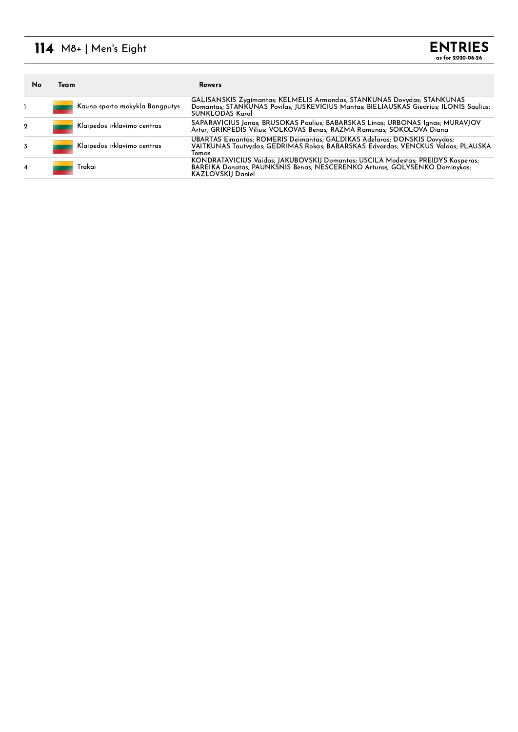### 114 M8+ | Men's Eight

| No | Team |                                | Rowers                                                                                                                                                                                    |
|----|------|--------------------------------|-------------------------------------------------------------------------------------------------------------------------------------------------------------------------------------------|
|    |      | Kauno sporto mokykla Bangputys | GALISANSKIS Zygimantas; KELMELIS Armandas; STANKUNAS Dovydas; STANKUNAS<br>Domantas; STANKUNAS Povilas; JUSKEVICIUS Mantas; BIELIAUSKAS Giedrius; ILONIS Saulius;<br>SUNKLODAS Karol      |
| 2  |      | Klaipedos irklavimo centras    | SAPARAVICIUS Jonas; BRUSOKAS Paulius; BABARSKAS Linas; URBONAS Ignas; MURAVJOV<br>Artur: GRIKPEDIS Vilius: VOLKOVAS Benas: RAZMA Ramunas: SOKOLOVA Diana                                  |
|    |      | Klaipedos irklavimo centras    | UBARTAS Eimantas; ROMERIS Deimantas; GALDIKAS Adelaras; DONSKIS Dovydas;<br>VAITKUNAS Tautvydas; GEDRIMAS Rokas; BABARSKAS Edvardas; VENCKUS Valdas; PLAUSKA<br>Tomas                     |
| 4  |      | Trakai                         | KONDRATAVICIUS Vaidas; JAKUBOVSKIJ Domantas; USCILA Modestas; PREIDYS Kasperas;<br>BAREIKA Donatas: PAUNKSNIS Benas: NESCERENKO Arturas: GOLYSENKO Dominykas:<br><b>KAZLOVSKIJ Daniel</b> |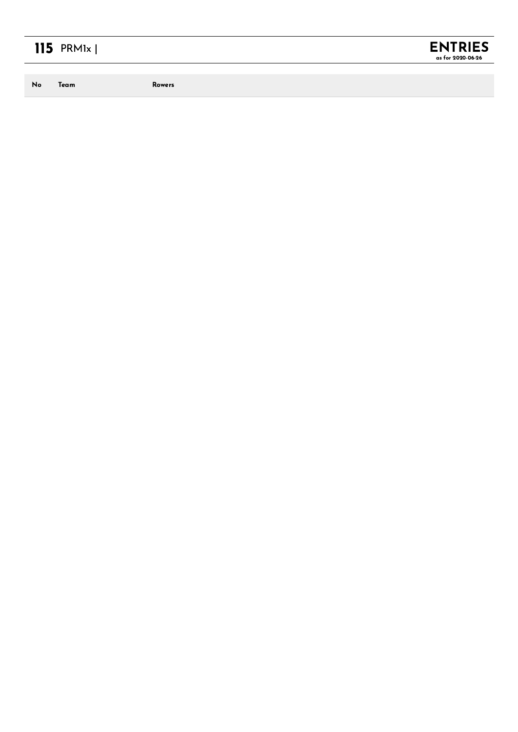# $115$  PRM<sub>1x</sub>  $\vert$

No Team

**Rowers** 

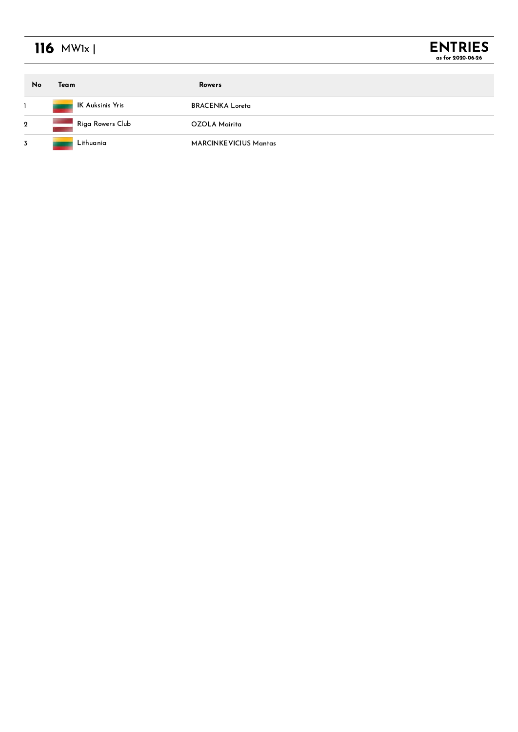## 116 **MW1x** |



| No           | Team             | Rowers                       |
|--------------|------------------|------------------------------|
|              | IK Auksinis Yris | <b>BRACENKA Loreta</b>       |
| $\mathbf{2}$ | Riga Rowers Club | OZOLA Mairita                |
| 3            | Lithuania        | <b>MARCINKEVICIUS Mantas</b> |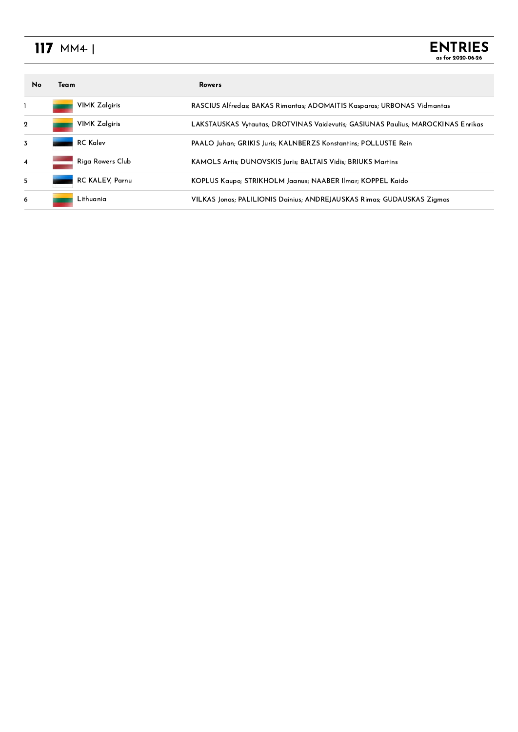## MM4- <sup>|</sup>

| <b>No</b>      | Team |                      | <b>Rowers</b>                                                                    |
|----------------|------|----------------------|----------------------------------------------------------------------------------|
|                |      | <b>VIMK Zalgiris</b> | RASCIUS Alfredas; BAKAS Rimantas; ADOMAITIS Kasparas; URBONAS Vidmantas          |
| $\mathbf{2}$   |      | <b>VIMK Zalgiris</b> | LAKSTAUSKAS Vytautas; DROTVINAS Vaidevutis; GASIUNAS Paulius; MAROCKINAS Enrikas |
| 3              |      | <b>RC</b> Kalev      | PAALO Juhan; GRIKIS Juris; KALNBERZS Konstantins; POLLUSTE Rein                  |
| $\overline{4}$ |      | Riga Rowers Club     | KAMOLS Artis: DUNOVSKIS Juris: BALTAIS Vidis: BRIUKS Martins                     |
| 5              |      | RC KALEV, Parnu      | KOPLUS Kaupo; STRIKHOLM Jaanus; NAABER Ilmar; KOPPEL Kaido                       |
| 6              |      | Lithuania            | VILKAS Jonas; PALILIONIS Dainius; ANDREJAUSKAS Rimas; GUDAUSKAS Zigmas           |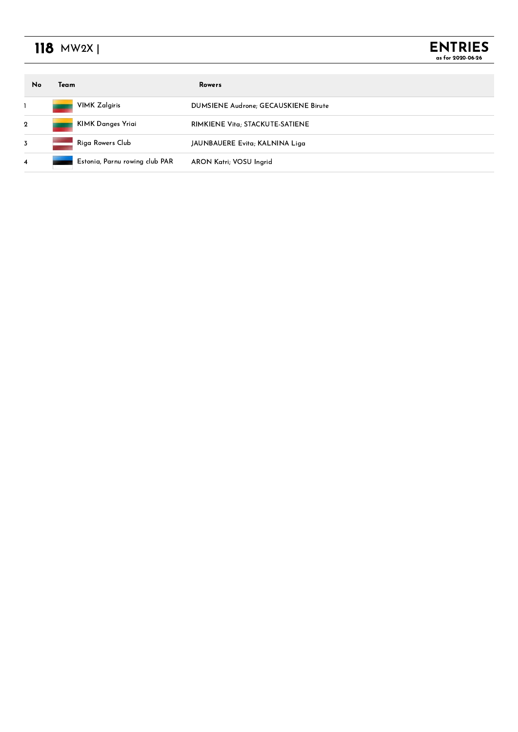## 118 **MW2X** |

| No             | Team |                                | Rowers                               |
|----------------|------|--------------------------------|--------------------------------------|
|                |      | <b>VIMK Zalgiris</b>           | DUMSIENE Audrone; GECAUSKIENE Birute |
| $\mathbf{2}$   |      | KIMK Danges Yriai              | RIMKIENE Vita; STACKUTE-SATIENE      |
| $\overline{3}$ |      | Riga Rowers Club               | JAUNBAUERE Evita; KALNINA Liga       |
| 4              |      | Estonia, Parnu rowing club PAR | ARON Katri; VOSU Ingrid              |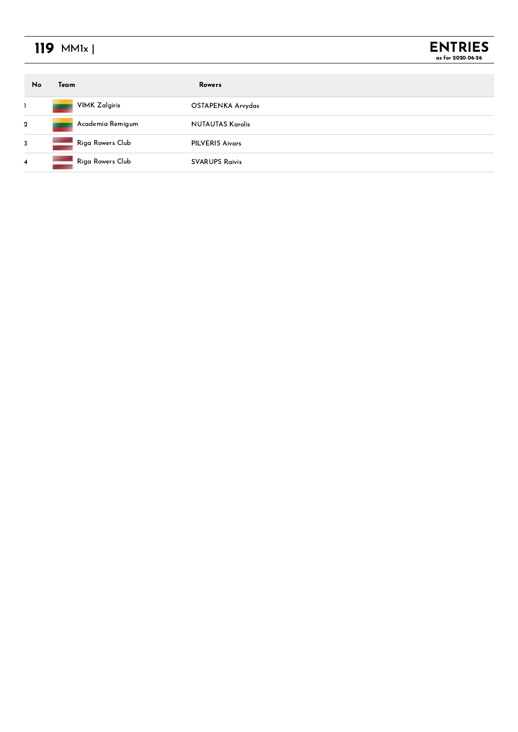## **MM1x** |



| No           | Team                 | Rowers                  |
|--------------|----------------------|-------------------------|
|              | <b>VIMK Zalgiris</b> | OSTAPENKA Arvydas       |
| $\mathbf{2}$ | Academia Remigum     | <b>NUTAUTAS Karolis</b> |
| 3            | Riga Rowers Club     | <b>PILVERIS Aivars</b>  |
| 4            | Riga Rowers Club     | <b>SVARUPS Raivis</b>   |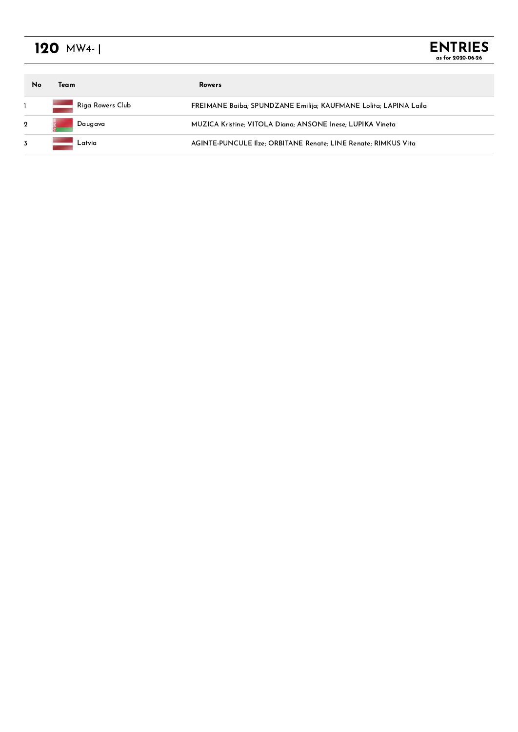## 120 **MW4-** |

**ENTRIES** as for 2020-06-26

| No           | Team             | <b>Rowers</b>                                                    |
|--------------|------------------|------------------------------------------------------------------|
|              | Riga Rowers Club | FREIMANE Baiba; SPUNDZANE Emilija; KAUFMANE Lolita; LAPINA Laila |
| $\mathbf{2}$ | Daugava          | MUZICA Kristine: VITOLA Diana: ANSONE Inese: LUPIKA Vineta       |
| 3            | Latvia           | AGINTE-PUNCULE Ilze; ORBITANE Renate; LINE Renate; RIMKUS Vita   |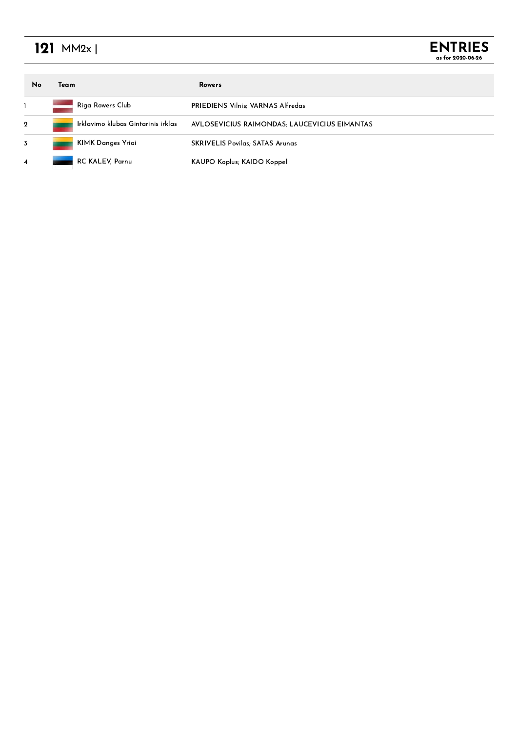## MM2x <sup>|</sup>

| No             | Team |                                    | Rowers                                       |
|----------------|------|------------------------------------|----------------------------------------------|
|                |      | Riga Rowers Club                   | <b>PRIEDIENS Vilnis: VARNAS Alfredas</b>     |
| $\overline{2}$ |      | Irklavimo klubas Gintarinis irklas | AVLOSEVICIUS RAIMONDAS; LAUCEVICIUS EIMANTAS |
| 3              |      | KIMK Danges Yriai                  | <b>SKRIVELIS Povilas; SATAS Arunas</b>       |
| 4              |      | RC KALEV, Parnu                    | KAUPO Koplus; KAIDO Koppel                   |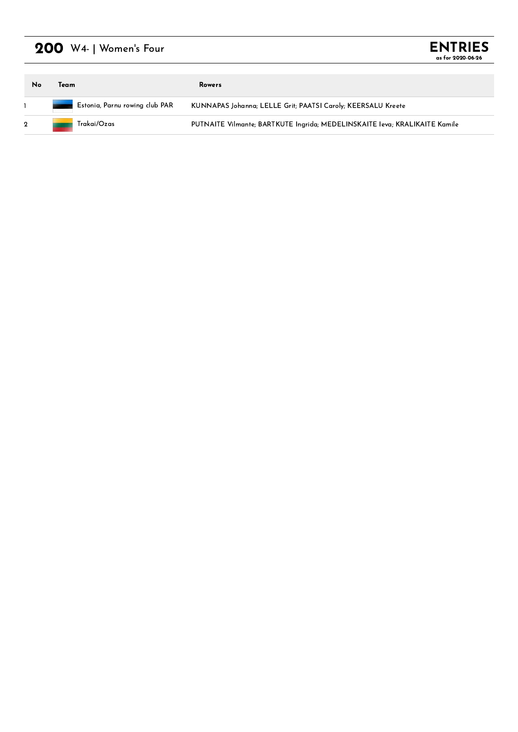## $200$  W4- | Women's Four

| <b>ENTRIES</b>    |  |
|-------------------|--|
| as for 2020-06-26 |  |

| No            | Team                                  | Rowers                                                                     |
|---------------|---------------------------------------|----------------------------------------------------------------------------|
|               | <b>Estonia, Parnu rowing club PAR</b> | KUNNAPAS Johanna; LELLE Grit; PAATSI Caroly; KEERSALU Kreete               |
| $\sim$ $\sim$ | Trakai/Ozas                           | PUTNAITE Vilmante; BARTKUTE Ingrida; MEDELINSKAITE Ieva; KRALIKAITE Kamile |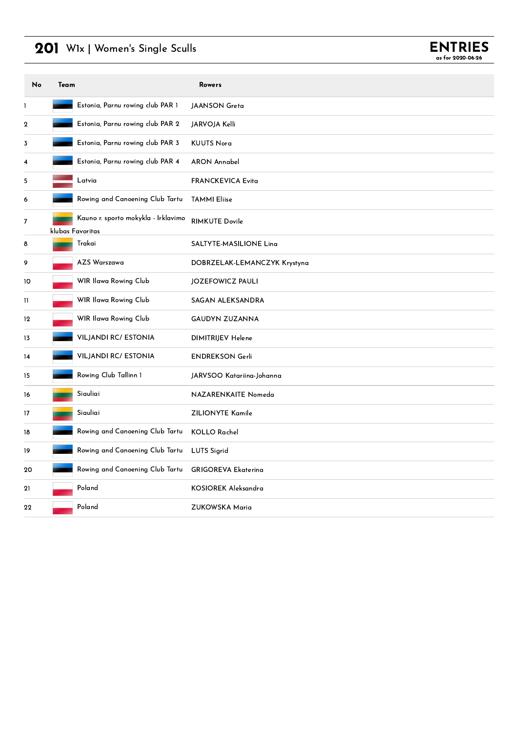### 201 W1x | Women's Single Sculls



| No             | Team             |                                     | <b>Rowers</b>                |
|----------------|------------------|-------------------------------------|------------------------------|
| 1              |                  | Estonia, Parnu rowing club PAR 1    | <b>JAANSON Greta</b>         |
| 2              |                  | Estonia, Parnu rowing club PAR 2    | JARVOJA Kelli                |
| 3              |                  | Estonia, Parnu rowing club PAR 3    | <b>KUUTS Norg</b>            |
| 4              |                  | Estonia, Parnu rowing club PAR 4    | <b>ARON Annabel</b>          |
| 5              |                  | Latvia                              | <b>FRANCKEVICA Evita</b>     |
| 6              |                  | Rowing and Canoening Club Tartu     | <b>TAMMI Eliise</b>          |
| $\overline{7}$ | klubas Favoritas | Kauno r. sporto mokykla - Irklavimo | <b>RIMKUTE Dovile</b>        |
| 8              |                  | Trakai                              | SALTYTE-MASILIONE Lina       |
| 9              |                  | AZS Warszawa                        | DOBRZELAK-LEMANCZYK Krystyna |
| 10             |                  | WIR Ilawa Rowing Club               | JOZEFOWICZ PAULI             |
| 11             |                  | WIR Ilawa Rowing Club               | SAGAN ALEKSANDRA             |
| 12             |                  | WIR Ilawa Rowing Club               | GAUDYN ZUZANNA               |
| 13             |                  | <b>VILJANDI RC/ ESTONIA</b>         | DIMITRIJEV Helene            |
| 14             |                  | <b>VILJANDI RC/ ESTONIA</b>         | <b>ENDREKSON Gerli</b>       |
| 15             |                  | Rowing Club Tallinn 1               | JARVSOO Katariina-Johanna    |
| 16             |                  | Siauliai                            | NAZARENKAITE Nomeda          |
| 17             |                  | Siauliai                            | <b>ZILIONYTE Kamile</b>      |
| 18             |                  | Rowing and Canoening Club Tartu     | <b>KOLLO Rachel</b>          |
| 19             |                  | Rowing and Canoening Club Tartu     | <b>LUTS Sigrid</b>           |
| 20             |                  | Rowing and Canoening Club Tartu     | <b>GRIGOREVA Ekaterina</b>   |
| 21             |                  | Poland                              | KOSIOREK Aleksandra          |
| 22             |                  | Poland                              | <b>ZUKOWSKA Maria</b>        |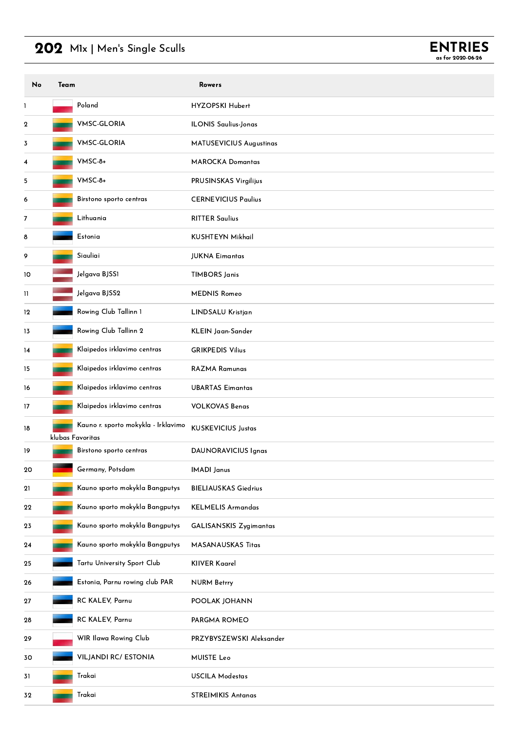### 202 M1x | Men's Single Sculls



| No | Team |                                                         | <b>Rowers</b>                 |
|----|------|---------------------------------------------------------|-------------------------------|
| 1  |      | Poland                                                  | HYZOPSKI Hubert               |
| 2  |      | <b>VMSC-GLORIA</b>                                      | <b>ILONIS Saulius-Jonas</b>   |
| 3  |      | <b>VMSC-GLORIA</b>                                      | MATUSEVICIUS Augustinas       |
| 4  |      | VMSC-8+                                                 | <b>MAROCKA Domantas</b>       |
| 5  |      | VMSC-8+                                                 | PRUSINSKAS Virgilijus         |
| 6  |      | Birstono sporto centras                                 | <b>CERNEVICIUS Paulius</b>    |
| 7  |      | Lithuania                                               | <b>RITTER Saulius</b>         |
| 8  |      | Estonia                                                 | <b>KUSHTEYN Mikhail</b>       |
| 9  |      | Siauliai                                                | <b>JUKNA Eimantas</b>         |
| 10 |      | Jelgava BJSS1                                           | <b>TIMBORS Janis</b>          |
| 11 |      | Jelgava BJSS2                                           | <b>MEDNIS Romeo</b>           |
| 12 |      | Rowing Club Tallinn 1                                   | LINDSALU Kristjan             |
| 13 |      | Rowing Club Tallinn 2                                   | KLEIN Jaan-Sander             |
| 14 |      | Klaipedos irklavimo centras                             | <b>GRIKPEDIS Vilius</b>       |
| 15 |      | Klaipedos irklavimo centras                             | <b>RAZMA Ramunas</b>          |
| 16 |      | Klaipedos irklavimo centras                             | <b>UBARTAS Eimantas</b>       |
| 17 |      | Klaipedos irklavimo centras                             | <b>VOLKOVAS Benas</b>         |
| 18 |      | Kauno r. sporto mokykla - Irklavimo<br>klubas Favoritas | <b>KUSKEVICIUS Justas</b>     |
| 19 |      | Birstono sporto centras                                 | DAUNORAVICIUS Ignas           |
| 20 |      | Germany, Potsdam                                        | <b>IMADI</b> Janus            |
| 21 |      | Kauno sporto mokykla Bangputys                          | <b>BIELIAUSKAS Giedrius</b>   |
| 22 |      | Kauno sporto mokykla Bangputys                          | <b>KELMELIS Armandas</b>      |
| 23 |      | Kauno sporto mokykla Bangputys                          | <b>GALISANSKIS Zygimantas</b> |
| 24 |      | Kauno sporto mokykla Bangputys                          | MASANAUSKAS Titas             |
| 25 |      | Tartu University Sport Club                             | <b>KIIVER Kaarel</b>          |
| 26 |      | Estonia, Parnu rowing club PAR                          | <b>NURM Betrry</b>            |
| 27 |      | RC KALEV, Parnu                                         | POOLAK JOHANN                 |
| 28 |      | RC KALEV, Parnu                                         | PARGMA ROMEO                  |
| 29 |      | WIR Ilawa Rowing Club                                   | PRZYBYSZEWSKI Aleksander      |
| 30 |      | <b>VILJANDI RC/ ESTONIA</b>                             | <b>MUISTE Leo</b>             |
| 31 |      | Trakai                                                  | <b>USCILA Modestas</b>        |
| 32 |      | Trakai                                                  | <b>STREIMIKIS Antanas</b>     |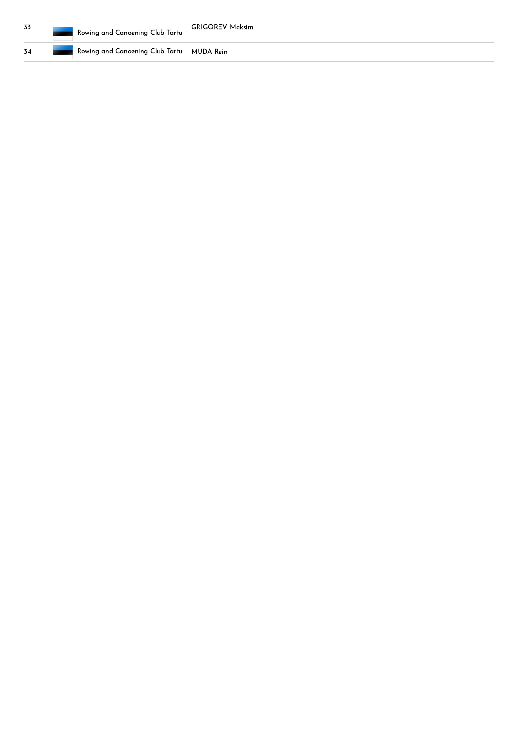Rowing and Canoening Club Tartu MUDA Rein

3 4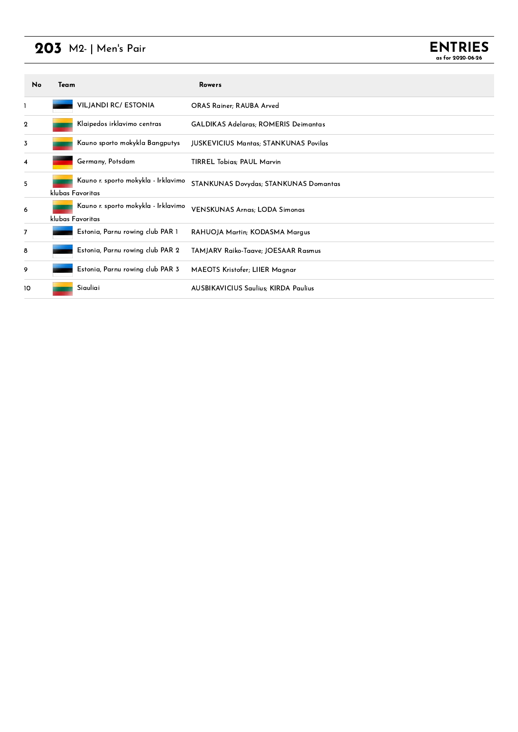## 203 M2- | Men's Pair



| No               | Team |                                                         | <b>Rowers</b>                                |
|------------------|------|---------------------------------------------------------|----------------------------------------------|
| 1                |      | <b>VILJANDI RC/ ESTONIA</b>                             | <b>ORAS Rainer: RAUBA Arved</b>              |
| $\boldsymbol{2}$ |      | Klaipedos irklavimo centras                             | <b>GALDIKAS Adelaras; ROMERIS Deimantas</b>  |
| 3                |      | Kauno sporto mokykla Bangputys                          | <b>JUSKEVICIUS Mantas; STANKUNAS Povilas</b> |
| 4                |      | Germany, Potsdam                                        | <b>TIRREL Tobias; PAUL Marvin</b>            |
| 5                |      | Kauno r. sporto mokykla - Irklavimo<br>klubas Favoritas | STANKUNAS Dovydas; STANKUNAS Domantas        |
| 6                |      | Kauno r. sporto mokykla - Irklavimo<br>klubas Favoritas | VENSKUNAS Arnas; LODA Simonas                |
| $\overline{7}$   |      | Estonia, Parnu rowing club PAR 1                        | RAHUOJA Martin; KODASMA Margus               |
| 8                |      | Estonia, Parnu rowing club PAR 2                        | TAMJARV Raiko-Taave; JOESAAR Rasmus          |
| 9                |      | Estonia, Parnu rowing club PAR 3                        | MAEOTS Kristofer; LIIER Magnar               |
| 10               |      | Siauliai                                                | <b>AUSBIKAVICIUS Saulius: KIRDA Paulius</b>  |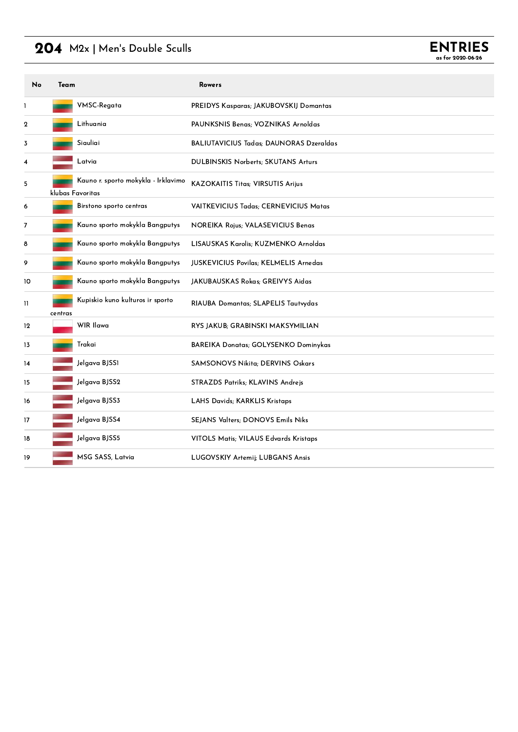### 204 M2x | Men's Double Sculls

| <b>ENTRIES</b>    |
|-------------------|
| as for 2020-06-26 |

| No               | Team    |                                                         | <b>Rowers</b>                                   |
|------------------|---------|---------------------------------------------------------|-------------------------------------------------|
| 1                |         | VMSC-Regata                                             | PREIDYS Kasparas; JAKUBOVSKIJ Domantas          |
| $\boldsymbol{2}$ |         | Lithuania                                               | PAUNKSNIS Benas; VOZNIKAS Arnoldas              |
| 3                |         | Siauliai                                                | <b>BALIUTAVICIUS Tadas</b> ; DAUNORAS Dzeraldas |
| 4                |         | Latvia                                                  | <b>DULBINSKIS Norberts; SKUTANS Arturs</b>      |
| 5                |         | Kauno r. sporto mokykla - Irklavimo<br>klubas Favoritas | <b>KAZOKAITIS Titas; VIRSUTIS Arijus</b>        |
| 6                |         | Birstono sporto centras                                 | VAITKEVICIUS Tadas; CERNEVICIUS Matas           |
| 7                |         | Kauno sporto mokykla Bangputys                          | NOREIKA Rojus; VALASEVICIUS Benas               |
| 8                |         | Kauno sporto mokykla Bangputys                          | LISAUSKAS Karolis: KUZMENKO Arnoldas            |
| 9                |         | Kauno sporto mokykla Bangputys                          | <b>JUSKEVICIUS Povilas: KELMELIS Arnedas</b>    |
| 10               |         | Kauno sporto mokykla Bangputys                          | JAKUBAUSKAS Rokas; GREIVYS Aidas                |
| 11               | centras | Kupiskio kuno kulturos ir sporto                        | RIAUBA Domantas; SLAPELIS Tautvydas             |
| 12               |         | WIR Ilawa                                               | RYS JAKUB; GRABINSKI MAKSYMILIAN                |
| 13               |         | Trakai                                                  | <b>BAREIKA Donatas; GOLYSENKO Dominykas</b>     |
| 14               |         | Jelgava BJSS1                                           | <b>SAMSONOVS Nikita: DERVINS Oskars</b>         |
| 15               |         | Jelgava BJSS2                                           | <b>STRAZDS Patriks; KLAVINS Andrejs</b>         |
| 16               |         | Jelgava BJSS3                                           | LAHS Davids; KARKLIS Kristaps                   |
| 17               |         | Jelgava BJSS4                                           | SEJANS Valters; DONOVS Emils Niks               |
| 18               |         | Jelgava BJSS5                                           | VITOLS Matis; VILAUS Edvards Kristaps           |
| 19               |         | MSG SASS, Latvia                                        | LUGOVSKIY Artemij; LUBGANS Ansis                |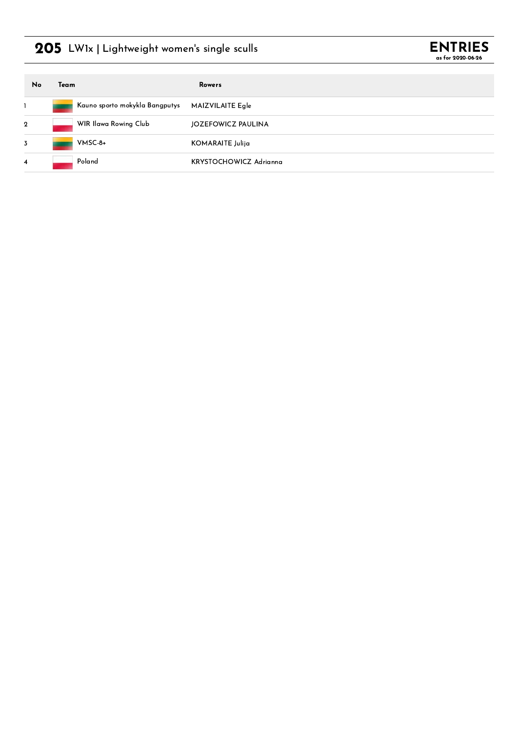### 205 LW1x | Lightweight women's single sculls



| No             | Team |                                | Rowers                 |
|----------------|------|--------------------------------|------------------------|
|                |      | Kauno sporto mokykla Bangputys | MAIZVILAITE Egle       |
| $\mathbf{2}$   |      | WIR Ilawa Rowing Club          | JOZEFOWICZ PAULINA     |
| $\overline{3}$ |      | $V$ MSC-8+                     | KOMARAITE Julija       |
| $\overline{4}$ |      | Poland                         | KRYSTOCHOWICZ Adrianna |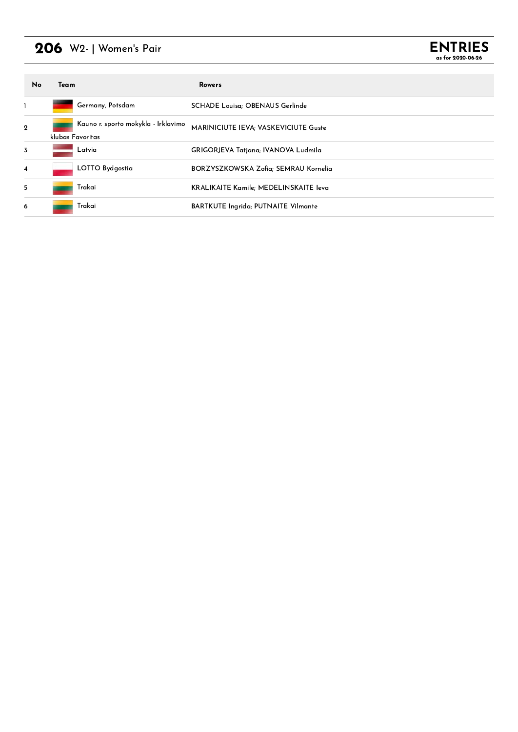### 206 W2- | Women's Pair



| No                      | Team             |                                     | Rowers                                     |
|-------------------------|------------------|-------------------------------------|--------------------------------------------|
|                         |                  | Germany, Potsdam                    | <b>SCHADE Louisa: OBENAUS Gerlinde</b>     |
| $\mathbf{2}$            | klubas Favoritas | Kauno r. sporto mokykla - Irklavimo | MARINICIUTE IEVA; VASKEVICIUTE Guste       |
| 3                       |                  | Latvia                              | <b>GRIGORJEVA Tatjana; IVANOVA Ludmila</b> |
| $\overline{\mathbf{4}}$ |                  | LOTTO Bydgostia                     | BORZYSZKOWSKA Zofia: SEMRAU Kornelia       |
| 5                       |                  | Trakai                              | KRALIKAITE Kamile; MEDELINSKAITE leva      |
| 6                       |                  | Trakai                              | <b>BARTKUTE Ingrida; PUTNAITE Vilmante</b> |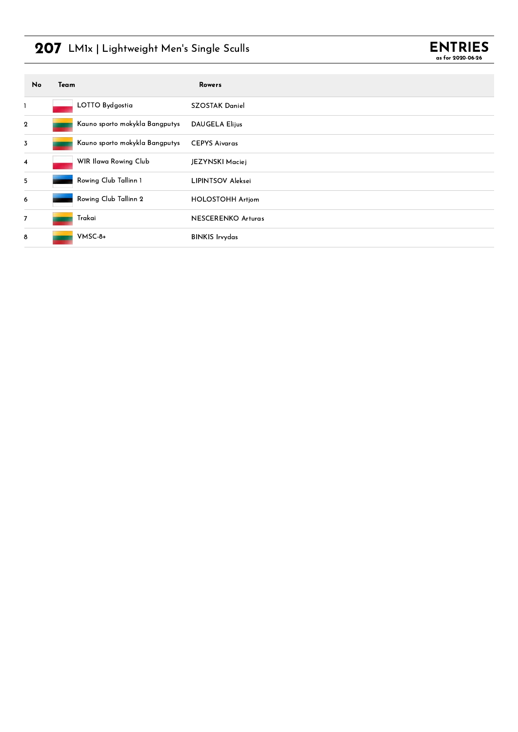## 207 LM1x | Lightweight Men's Single Sculls



| No             | Team                           | <b>Rowers</b>             |
|----------------|--------------------------------|---------------------------|
| $\mathbf{I}$   | LOTTO Bydgostia                | <b>SZOSTAK Daniel</b>     |
| $\mathbf{2}$   | Kauno sporto mokykla Bangputys | <b>DAUGELA Elijus</b>     |
| $\overline{3}$ | Kauno sporto mokykla Bangputys | <b>CEPYS Aivaras</b>      |
| $\overline{4}$ | WIR Ilawa Rowing Club          | JEZYNSKI Maciej           |
| 5              | Rowing Club Tallinn 1          | <b>LIPINTSOV Aleksei</b>  |
| 6              | Rowing Club Tallinn 2          | <b>HOLOSTOHH Artjom</b>   |
| $\overline{7}$ | Trakai                         | <b>NESCERENKO Arturas</b> |
| 8              | VMSC-8+                        | <b>BINKIS Irvydas</b>     |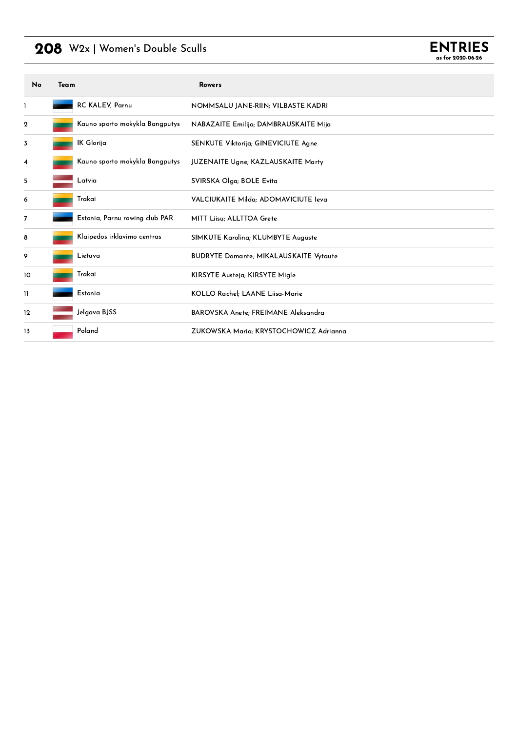### 208 W2x | Women's Double Sculls



| No                       | Team |                                | <b>Rowers</b>                                 |
|--------------------------|------|--------------------------------|-----------------------------------------------|
| 1                        |      | RC KALEV, Parnu                | NOMMSALU JANE-RIIN; VILBASTE KADRI            |
| 2                        |      | Kauno sporto mokykla Bangputys | NABAZAITE Emilija; DAMBRAUSKAITE Mija         |
| 3                        |      | IK Glorija                     | SENKUTE Viktorija; GINEVICIUTE Agne           |
| 4                        |      | Kauno sporto mokykla Bangputys | JUZENAITE Ugne; KAZLAUSKAITE Marty            |
| 5                        |      | Latvia                         | SVIRSKA Olga; BOLE Evita                      |
| 6                        |      | Trakai                         | VALCIUKAITE Milda; ADOMAVICIUTE Ieva          |
| $\overline{\phantom{a}}$ |      | Estonia, Parnu rowing club PAR | MITT Liisu; ALLTTOA Grete                     |
| 8                        |      | Klaipedos irklavimo centras    | SIMKUTE Karolina; KLUMBYTE Auguste            |
| 9                        |      | Lietuva                        | <b>BUDRYTE Domante; MIKALAUSKAITE Vytaute</b> |
| 10                       |      | Trakai                         | KIRSYTE Austeja; KIRSYTE Migle                |
| $\mathbf{1}$             |      | Estonia                        | KOLLO Rachel; LAANE Liisa-Marie               |
| 12                       |      | Jelgava BJSS                   | BAROVSKA Anete; FREIMANE Aleksandra           |
| 13                       |      | Poland                         | ZUKOWSKA Maria; KRYSTOCHOWICZ Adrianna        |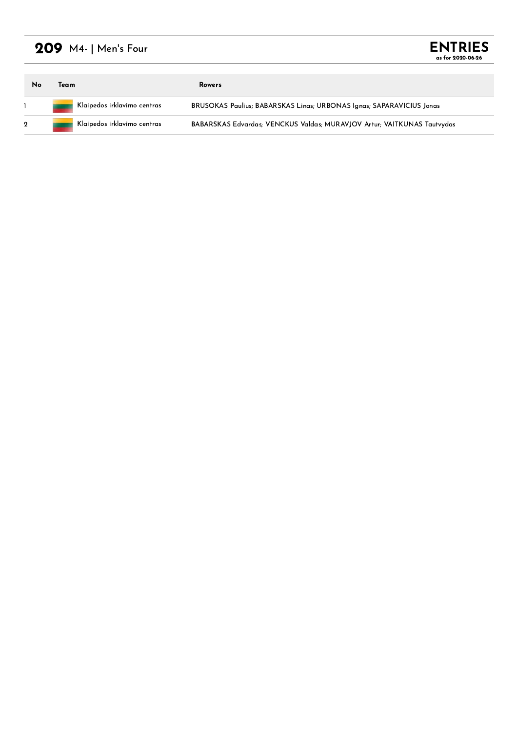## 209 M4- | Men's Four

| <b>ENTRIES</b>    |  |
|-------------------|--|
| as for 2020-06-26 |  |

| Team                        | <b>Rowers</b>                                                               |
|-----------------------------|-----------------------------------------------------------------------------|
| Klaipedos irklavimo centras | <b>BRUSOKAS Paulius; BABARSKAS Linas; URBONAS Ignas; SAPARAVICIUS Jonas</b> |
| Klaipedos irklavimo centras | BABARSKAS Edvardas; VENCKUS Valdas; MURAVJOV Artur; VAITKUNAS Tautyydas     |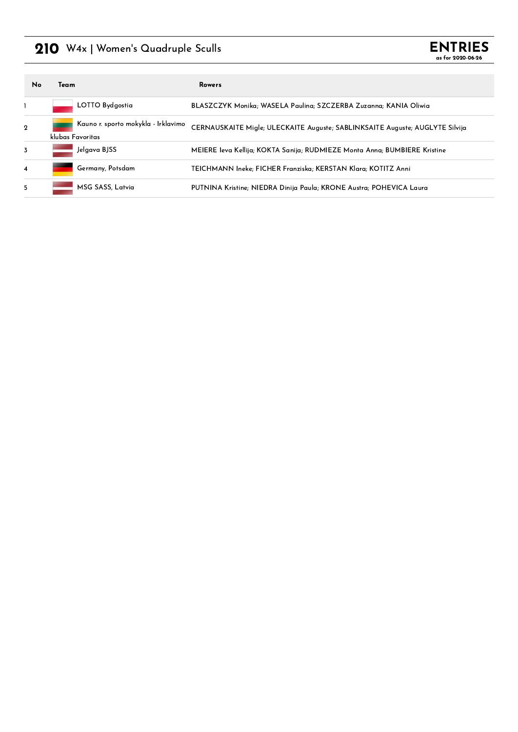### 210 W4x | Women's Quadruple Sculls



| <b>No</b>               | Team                                                    | Rowers                                                                       |
|-------------------------|---------------------------------------------------------|------------------------------------------------------------------------------|
|                         | LOTTO Bydgostia                                         | BLASZCZYK Monika; WASELA Paulina; SZCZERBA Zuzanna; KANIA Oliwia             |
| $\mathbf 2$             | Kauno r. sporto mokykla - Irklavimo<br>klubas Favoritas | CERNAUSKAITE Migle; ULECKAITE Auguste; SABLINKSAITE Auguste; AUGLYTE Silvija |
| 3                       | Jelgava BJSS                                            | MEIERE Ieva Kellija; KOKTA Sanija; RUDMIEZE Monta Anna; BUMBIERE Kristine    |
| $\overline{\mathbf{4}}$ | Germany, Potsdam                                        | TEICHMANN Ineke: FICHER Franziska: KERSTAN Klara: KOTITZ Anni                |
| 5                       | MSG SASS, Latvia                                        | PUTNINA Kristine; NIEDRA Dinija Paula; KRONE Austra; POHEVICA Laura          |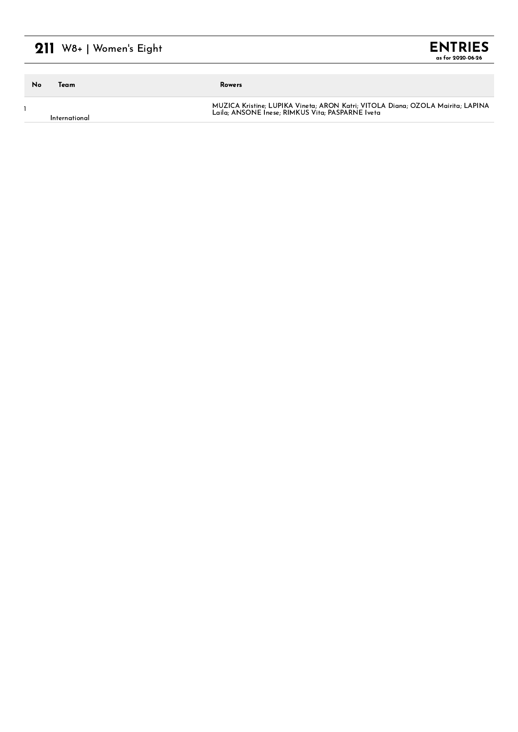## $211$  W8+ | Women's Eight

| <b>ENTRIES</b>    |  |
|-------------------|--|
| as for 2020-06-26 |  |

| No | Team          | Rowers                                                                                                                              |
|----|---------------|-------------------------------------------------------------------------------------------------------------------------------------|
|    | International | MUZICA Kristine; LUPIKA Vineta; ARON Katri; VITOLA Diana; OZOLA Mairita; LAPINA<br>Laila: ANSONE Inese: RIMKUS Vita: PASPARNE Iveta |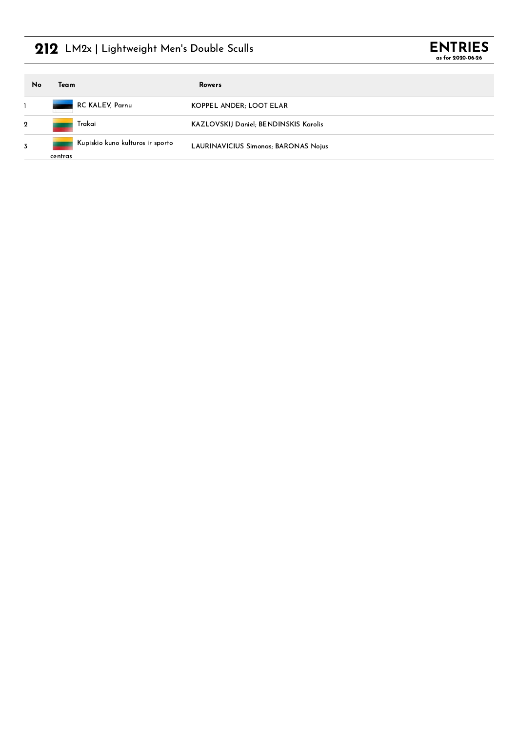## 212 LM2x | Lightweight Men's Double Sculls



| No             | Team                                        | Rowers                                       |
|----------------|---------------------------------------------|----------------------------------------------|
|                | RC KALEV, Parnu                             | KOPPEL ANDER; LOOT ELAR                      |
| $\mathbf{2}$   | Trakai                                      | <b>KAZLOVSKIJ Daniel; BENDINSKIS Karolis</b> |
| $\overline{3}$ | Kupiskio kuno kulturos ir sporto<br>centras | <b>LAURINAVICIUS Simonas; BARONAS Nojus</b>  |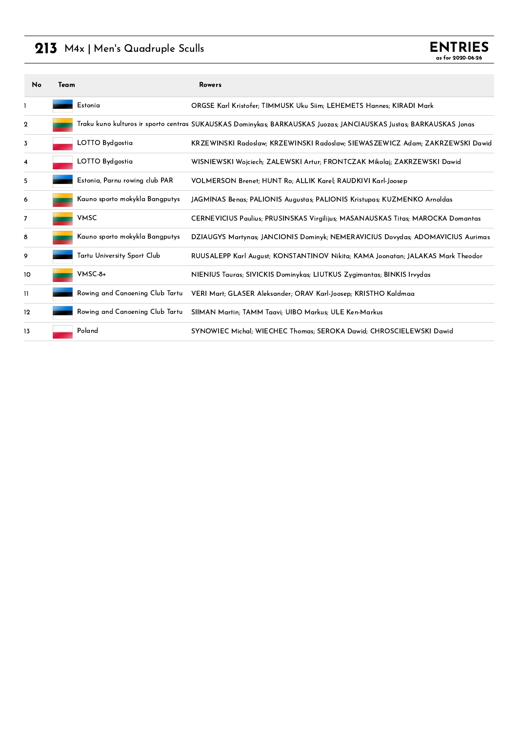### 213 M4x | Men's Quadruple Sculls

| No          | Team |                                 | <b>Rowers</b>                                                                                                      |
|-------------|------|---------------------------------|--------------------------------------------------------------------------------------------------------------------|
|             |      | Estonia                         | ORGSE Karl Kristofer; TIMMUSK Uku Siim; LEHEMETS Hannes; KIRADI Mark                                               |
| $\mathbf 2$ |      |                                 | Traku kuno kulturos ir sporto centras SUKAUSKAS Dominykas; BARKAUSKAS Juozas; JANCIAUSKAS Justas; BARKAUSKAS Jonas |
| 3           |      | LOTTO Bydgostia                 | KRZEWINSKI Radoslaw; KRZEWINSKI Radoslaw; SIEWASZEWICZ Adam; ZAKRZEWSKI Dawid                                      |
| 4           |      | LOTTO Bydgostia                 | WISNIEWSKI Wojciech; ZALEWSKI Artur; FRONTCZAK Mikolaj; ZAKRZEWSKI Dawid                                           |
| 5           |      | Estonia, Parnu rowing club PAR  | VOLMERSON Brenet; HUNT Ro; ALLIK Karel; RAUDKIVI Karl-Joosep                                                       |
| 6           |      | Kauno sporto mokykla Bangputys  | JAGMINAS Benas; PALIONIS Augustas; PALIONIS Kristupas; KUZMENKO Arnoldas                                           |
| 7           |      | <b>VMSC</b>                     | CERNEVICIUS Paulius; PRUSINSKAS Virgilijus; MASANAUSKAS Titas; MAROCKA Domantas                                    |
| 8           |      | Kauno sporto mokykla Bangputys  | DZIAUGYS Martynas; JANCIONIS Dominyk; NEMERAVICIUS Dovydas; ADOMAVICIUS Aurimas                                    |
| 9           |      | Tartu University Sport Club     | RUUSALEPP Karl August; KONSTANTINOV Nikita; KAMA Joonatan; JALAKAS Mark Theodor                                    |
| 10          |      | $V$ MSC-8+                      | NIENIUS Tauras; SIVICKIS Dominykas; LIUTKUS Zygimantas; BINKIS Irvydas                                             |
| 11          |      | Rowing and Canoening Club Tartu | VERI Mart; GLASER Aleksander; ORAV Karl-Joosep; KRISTHO Kaldmaa                                                    |
| 12          |      | Rowing and Canoening Club Tartu | SIIMAN Martin: TAMM Taavi: UIBO Markus: ULE Ken-Markus                                                             |
| 13          |      | Poland                          | SYNOWIEC Michal; WIECHEC Thomas; SEROKA Dawid; CHROSCIELEWSKI Dawid                                                |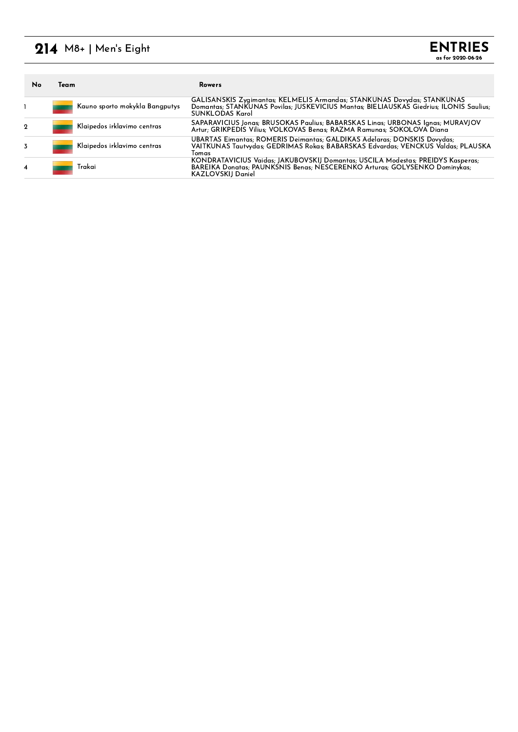## $214$  M8+ | Men's Eight

| No | Team |                                | Rowers                                                                                                                                                                                       |
|----|------|--------------------------------|----------------------------------------------------------------------------------------------------------------------------------------------------------------------------------------------|
|    |      | Kauno sporto mokykla Bangputys | GALISANSKIS Zvaimantas; KELMELIS Armandas; STANKUNAS Dovydas; STANKUNAS<br>Domantas; STANKUNAS Povilas; JUSKEVICIUS Mantas; BIELIAUSKAS Giedrius; ILONIS Saulius;<br><b>SUNKI ODAS Karol</b> |
| 2  |      | Klaipedos irklavimo centras    | SAPARAVICIUS Jonas; BRUSOKAS Paulius; BABARSKAS Linas; URBONAS Ignas; MURAVJOV<br>Artur: GRIKPEDIS Vilius: VOLKOVAS Benas: RAZMA Ramunas: SOKOLOVA Diana                                     |
|    |      | Klaipedos irklavimo centras    | UBARTAS Eimantas; ROMERIS Deimantas; GALDIKAS Adelaras; DONSKIS Dovydas;<br>VAITKUNAS Tautvydas; GEDRIMAS Rokas; BABARSKAS Edvardas; VENCKUS Valdas; PLAUSKA<br>Tomas                        |
| 4  |      | Trakai                         | KONDRATAVICIUS Vaidas; JAKUBOVSKIJ Domantas; USCILA Modestas; PREIDYS Kasperas;<br>BAREIKA Donatas; PAUNKSNIS Benas; NESCERENKO Arturas; GOLYSENKO Dominykas;<br><b>KAZLOVSKIJ Daniel</b>    |